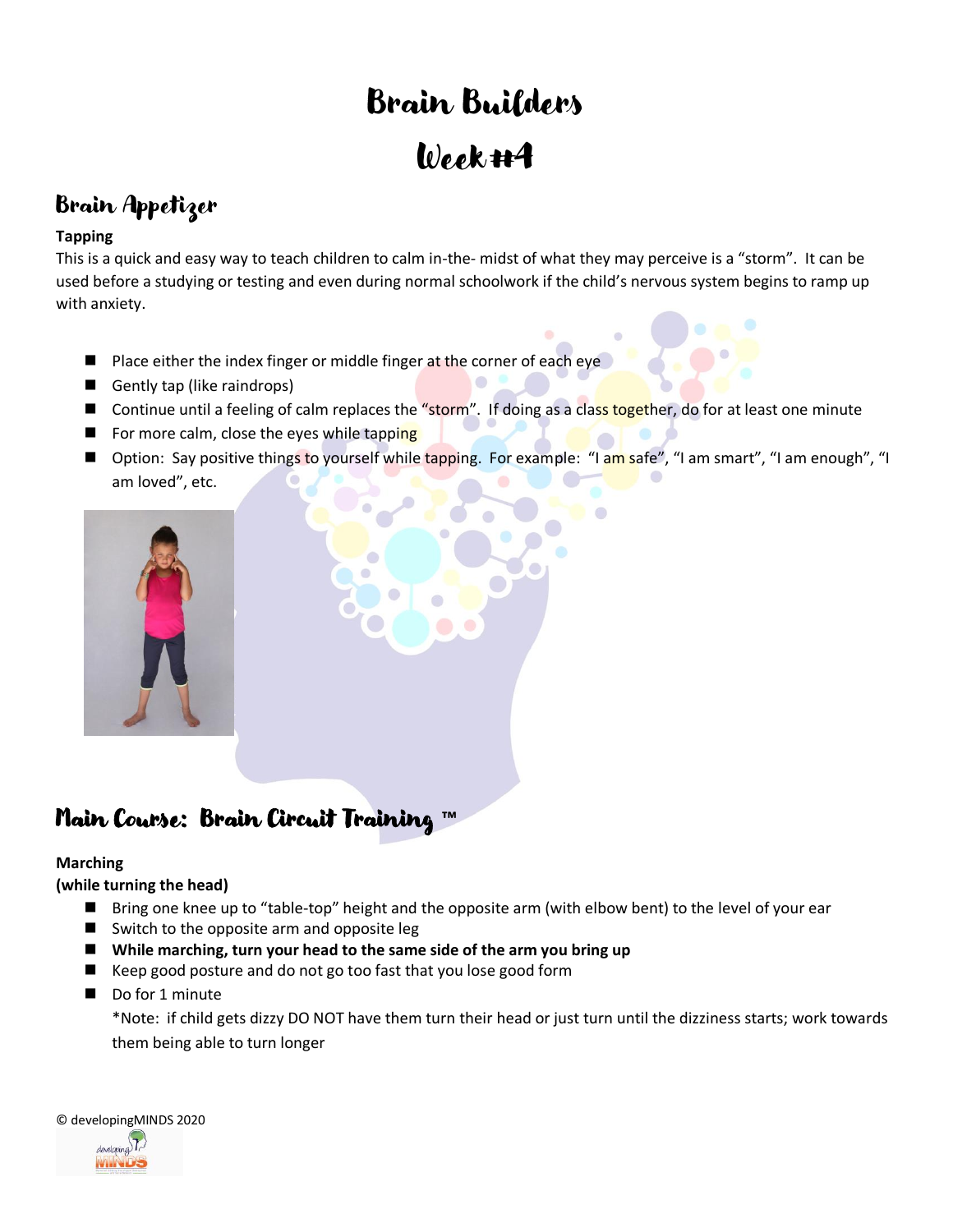# Brain Builders Week #4

### Brain Appetizer

### **Tapping**

This is a quick and easy way to teach children to calm in-the- midst of what they may perceive is a "storm". It can be used before a studying or testing and even during normal schoolwork if the child's nervous system begins to ramp up with anxiety.

- Place either the index finger or middle finger at the corner of each eye
- Gently tap (like raindrops)
- Continue until a feeling of calm replaces the "storm". If doing as a class together, do for at least one minute
- For more calm, close the eyes while tapping
- Option: Say positive things to yourself while tapping. For example: "I am safe", "I am smart", "I am enough", "I am loved", etc.

 $\bullet$ 



### Main Course: Brain Circuit Training **™**

### **Marching**

### **(while turning the head)**

- Bring one knee up to "table-top" height and the opposite arm (with elbow bent) to the level of your ear
- Switch to the opposite arm and opposite leg
- While marching, turn your head to the same side of the arm you bring up
- Keep good posture and do not go too fast that you lose good form
- Do for 1 minute

\*Note: if child gets dizzy DO NOT have them turn their head or just turn until the dizziness starts; work towards them being able to turn longer

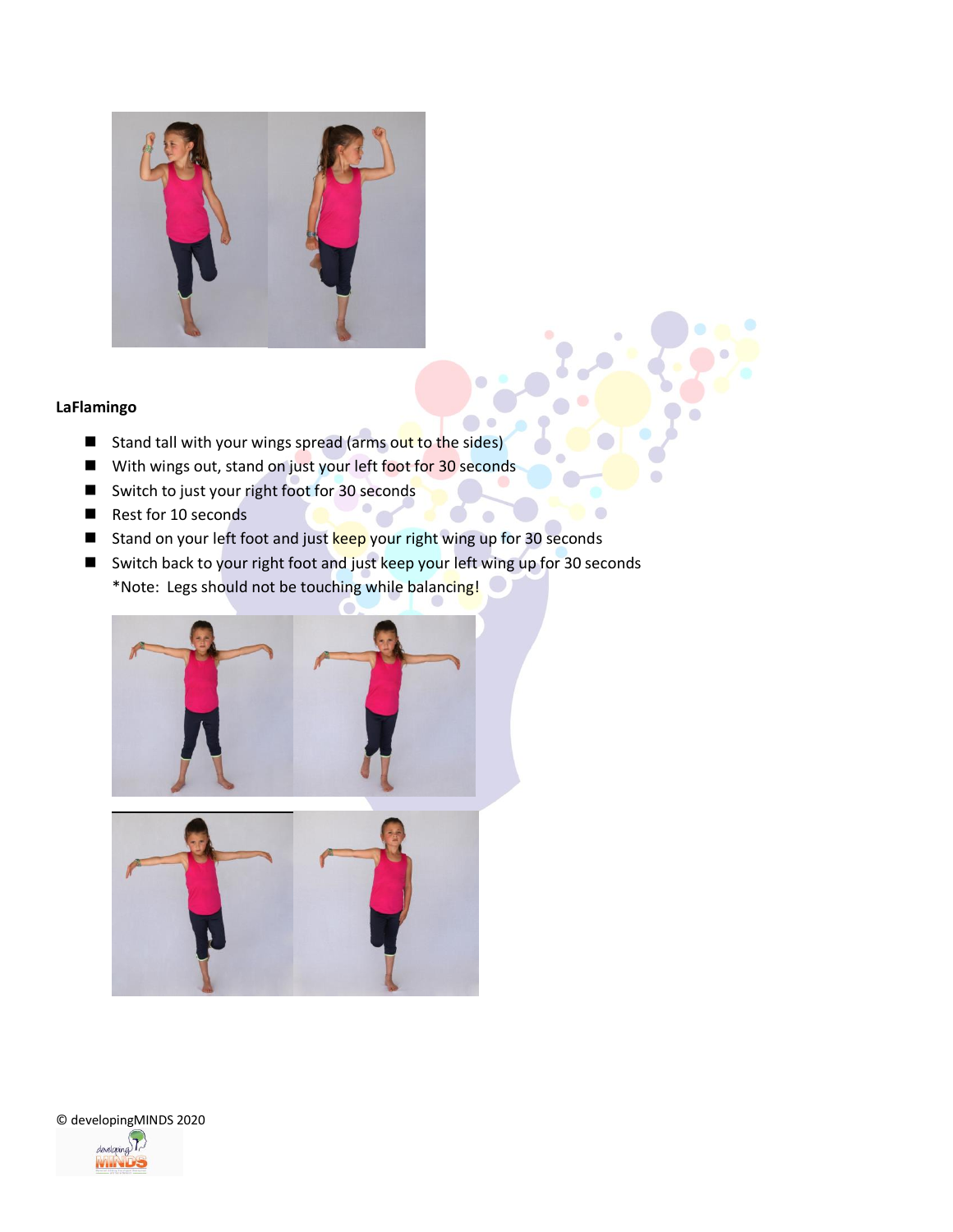

### **LaFlamingo**

- Stand tall with your wings spread (arms out to the sides)
- With wings out, stand on just your left foot for 30 seconds
- Switch to just your right foot for 30 seconds
- Rest for 10 seconds
- Stand on your left foot and just keep your right wing up for 30 seconds
- Switch back to your right foot and just keep your left wing up for 30 seconds \*Note: Legs should not be touching while balancing!

 $\bullet$ 

 $\bullet$ 





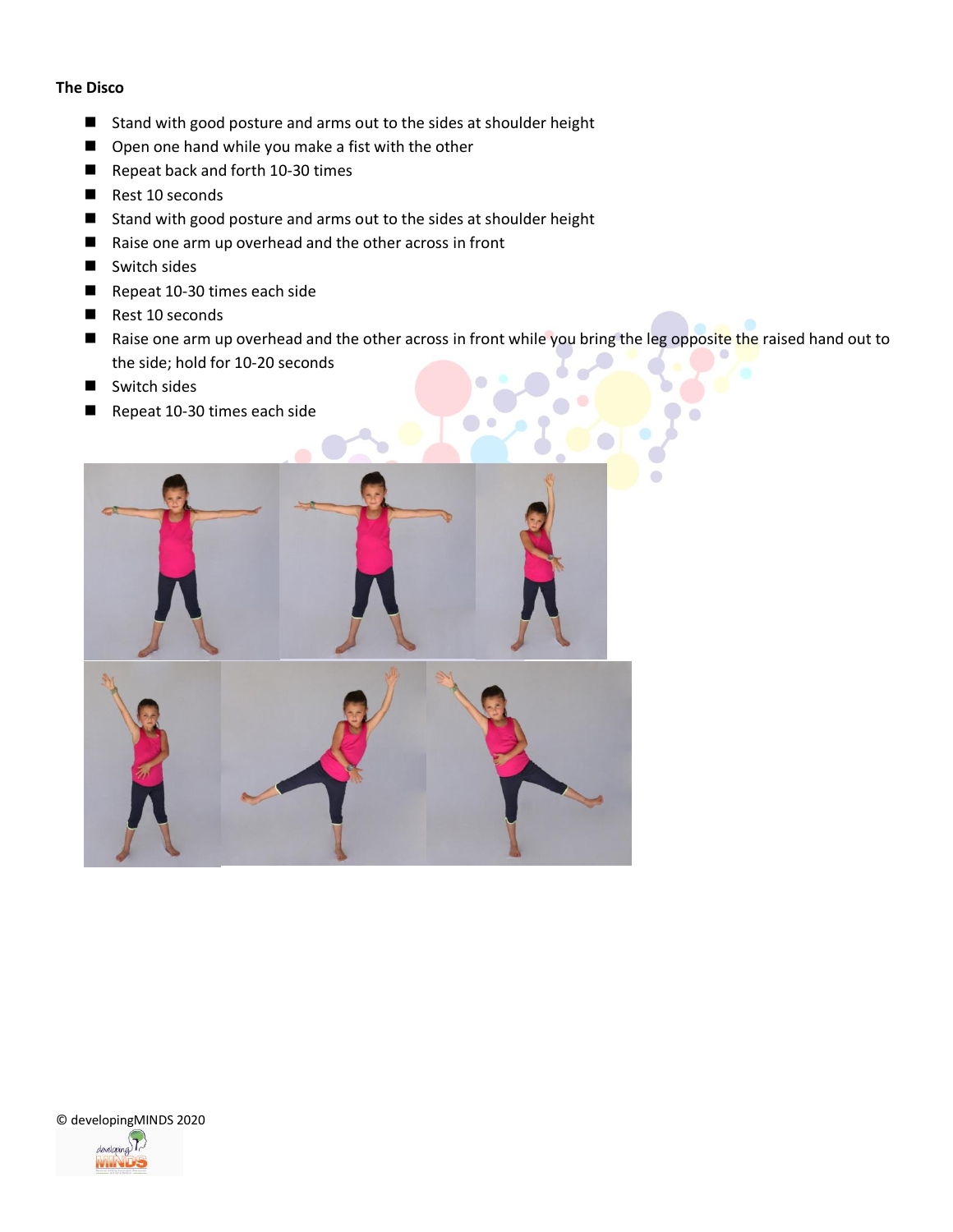### **The Disco**

- Stand with good posture and arms out to the sides at shoulder height
- Open one hand while you make a fist with the other
- Repeat back and forth 10-30 times
- Rest 10 seconds
- Stand with good posture and arms out to the sides at shoulder height
- Raise one arm up overhead and the other across in front
- Switch sides
- Repeat 10-30 times each side
- Rest 10 seconds
- Raise one arm up overhead and the other across in front while you bring the leg opposite the raised hand out to the side; hold for 10-20 seconds
- Switch sides
- Repeat 10-30 times each side



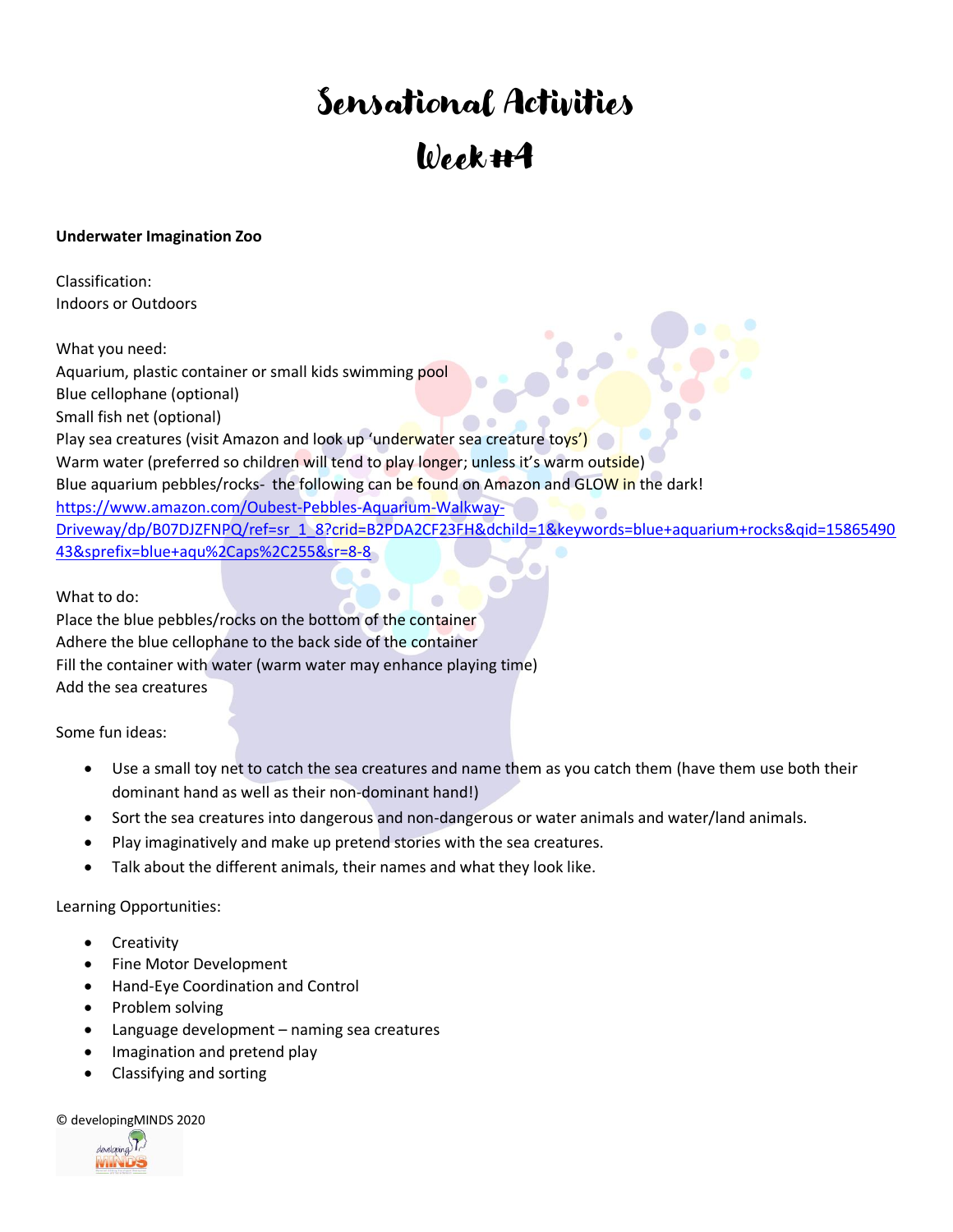# Sensational Activities Week #4

### **Underwater Imagination Zoo**

Classification: Indoors or Outdoors

What you need: Aquarium, plastic container or small kids swimming pool Blue cellophane (optional) Small fish net (optional) Play sea creatures (visit Amazon and look up 'underwater sea creature toys') Warm water (preferred so children will tend to play longer; unless it's warm outside) Blue aquarium pebbles/rocks- the following can be found on Amazon and GLOW in the dark! [https://www.amazon.com/Oubest-Pebbles-Aquarium-Walkway-](https://www.amazon.com/Oubest-Pebbles-Aquarium-Walkway-Driveway/dp/B07DJZFNPQ/ref=sr_1_8?crid=B2PDA2CF23FH&dchild=1&keywords=blue+aquarium+rocks&qid=1586549043&sprefix=blue+aqu%2Caps%2C255&sr=8-8)[Driveway/dp/B07DJZFNPQ/ref=sr\\_1\\_8?crid=B2PDA2CF23FH&dchild=1&keywords=blue+aquarium+rocks&qid=15865490](https://www.amazon.com/Oubest-Pebbles-Aquarium-Walkway-Driveway/dp/B07DJZFNPQ/ref=sr_1_8?crid=B2PDA2CF23FH&dchild=1&keywords=blue+aquarium+rocks&qid=1586549043&sprefix=blue+aqu%2Caps%2C255&sr=8-8) [43&sprefix=blue+aqu%2Caps%2C255&sr=8-8](https://www.amazon.com/Oubest-Pebbles-Aquarium-Walkway-Driveway/dp/B07DJZFNPQ/ref=sr_1_8?crid=B2PDA2CF23FH&dchild=1&keywords=blue+aquarium+rocks&qid=1586549043&sprefix=blue+aqu%2Caps%2C255&sr=8-8)

What to do:

Place the blue pebbles/rocks on the bottom of the container Adhere the blue cellophane to the back side of the container Fill the container with water (warm water may enhance playing time) Add the sea creatures

Some fun ideas:

- Use a small toy net to catch the sea creatures and name them as you catch them (have them use both their dominant hand as well as their non-dominant hand!)
- Sort the sea creatures into dangerous and non-dangerous or water animals and water/land animals.
- Play imaginatively and make up pretend stories with the sea creatures.
- Talk about the different animals, their names and what they look like.

Learning Opportunities:

- **Creativity**
- Fine Motor Development
- Hand-Eye Coordination and Control
- Problem solving
- Language development naming sea creatures
- Imagination and pretend play
- Classifying and sorting

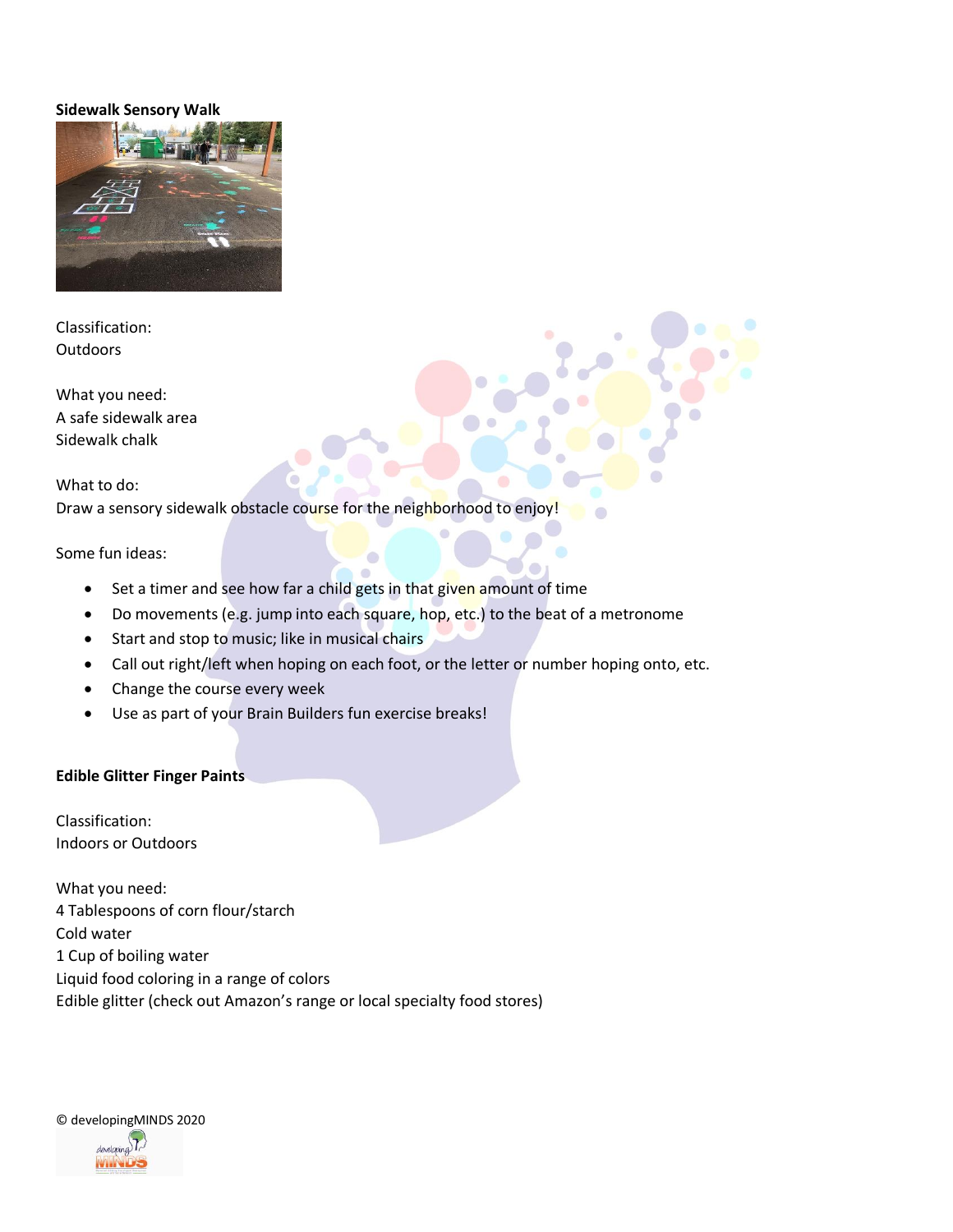#### **Sidewalk Sensory Walk**



Classification: **Outdoors** 

What you need: A safe sidewalk area Sidewalk chalk

What to do:

Draw a sensory sidewalk obstacle course for the neighborhood to enjoy!

Some fun ideas:

- Set a timer and see how far a child gets in that given amount of time
- Do movements (e.g. jump into each square, hop, etc.) to the beat of a metronome
- Start and stop to music; like in musical chairs
- Call out right/left when hoping on each foot, or the letter or number hoping onto, etc.
- Change the course every week
- Use as part of your Brain Builders fun exercise breaks!

#### **Edible Glitter Finger Paints**

Classification: Indoors or Outdoors

What you need: 4 Tablespoons of corn flour/starch Cold water 1 Cup of boiling water Liquid food coloring in a range of colors Edible glitter (check out Amazon's range or local specialty food stores)

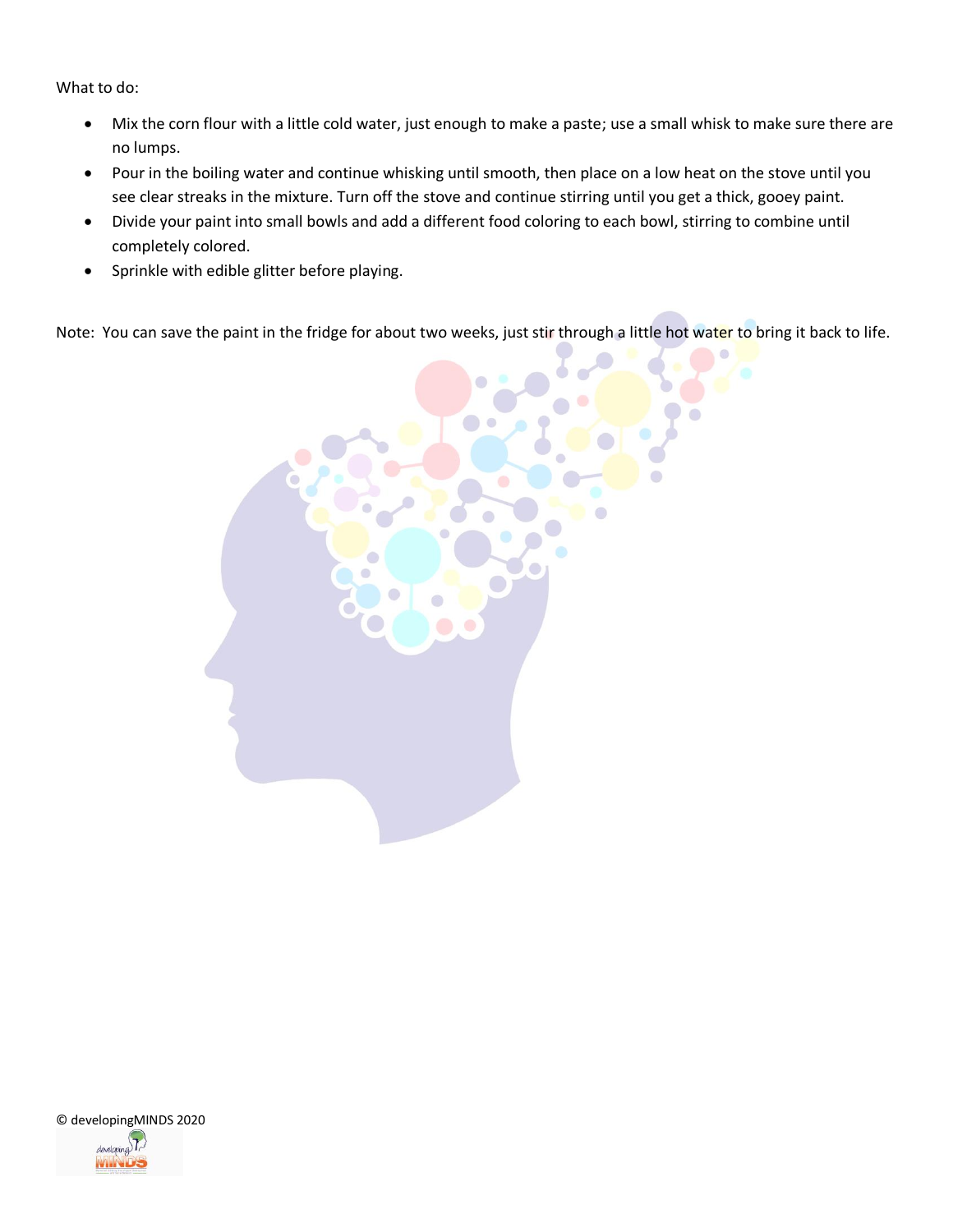What to do:

- Mix the corn flour with a little cold water, just enough to make a paste; use a small whisk to make sure there are no lumps.
- Pour in the boiling water and continue whisking until smooth, then place on a low heat on the stove until you see clear streaks in the mixture. Turn off the stove and continue stirring until you get a thick, gooey paint.
- Divide your paint into small bowls and add a different food coloring to each bowl, stirring to combine until completely colored.
- Sprinkle with edible glitter before playing.

Note: You can save the paint in the fridge for about two weeks, just stir through a little hot water to bring it back to life.